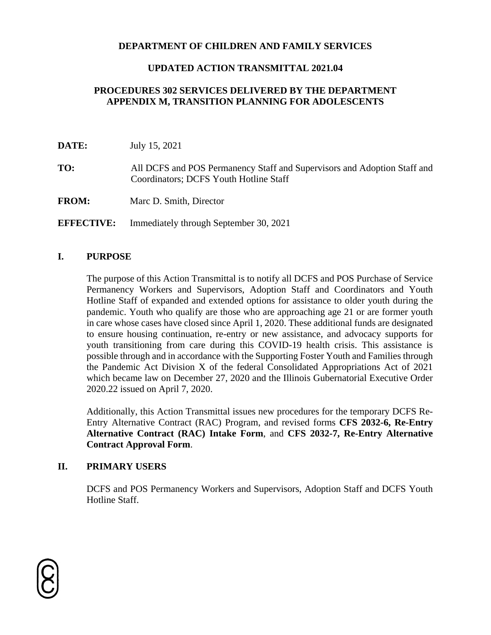#### **DEPARTMENT OF CHILDREN AND FAMILY SERVICES**

#### **UPDATED ACTION TRANSMITTAL 2021.04**

### **PROCEDURES 302 SERVICES DELIVERED BY THE DEPARTMENT APPENDIX M, TRANSITION PLANNING FOR ADOLESCENTS**

| DATE: | July 15, 2021 |  |
|-------|---------------|--|
|       |               |  |

**TO:** All DCFS and POS Permanency Staff and Supervisors and Adoption Staff and Coordinators; DCFS Youth Hotline Staff

**FROM:** Marc D. Smith, Director

**EFFECTIVE:** Immediately through September 30, 2021

#### **I. PURPOSE**

The purpose of this Action Transmittal is to notify all DCFS and POS Purchase of Service Permanency Workers and Supervisors, Adoption Staff and Coordinators and Youth Hotline Staff of expanded and extended options for assistance to older youth during the pandemic. Youth who qualify are those who are approaching age 21 or are former youth in care whose cases have closed since April 1, 2020. These additional funds are designated to ensure housing continuation, re-entry or new assistance, and advocacy supports for youth transitioning from care during this COVID-19 health crisis. This assistance is possible through and in accordance with the Supporting Foster Youth and Families through the Pandemic Act Division X of the federal Consolidated Appropriations Act of 2021 which became law on December 27, 2020 and the Illinois Gubernatorial Executive Order 2020.22 issued on April 7, 2020.

Additionally, this Action Transmittal issues new procedures for the temporary DCFS Re-Entry Alternative Contract (RAC) Program, and revised forms **CFS 2032-6, Re-Entry Alternative Contract (RAC) Intake Form**, and **CFS 2032-7, Re-Entry Alternative Contract Approval Form**.

#### **II. PRIMARY USERS**

DCFS and POS Permanency Workers and Supervisors, Adoption Staff and DCFS Youth Hotline Staff.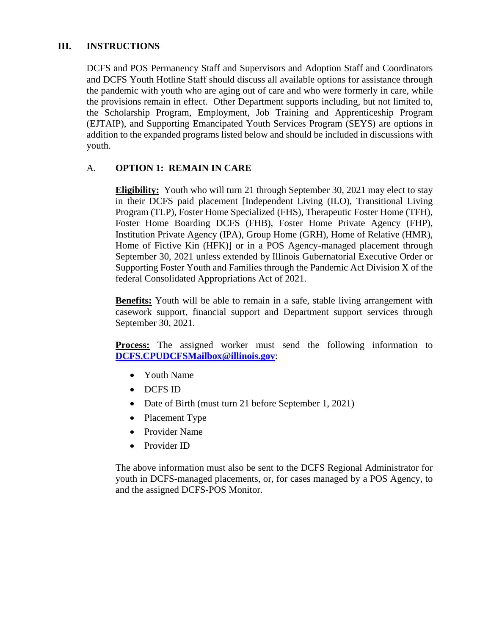### **III. INSTRUCTIONS**

DCFS and POS Permanency Staff and Supervisors and Adoption Staff and Coordinators and DCFS Youth Hotline Staff should discuss all available options for assistance through the pandemic with youth who are aging out of care and who were formerly in care, while the provisions remain in effect. Other Department supports including, but not limited to, the Scholarship Program, Employment, Job Training and Apprenticeship Program (EJTAIP), and Supporting Emancipated Youth Services Program (SEYS) are options in addition to the expanded programs listed below and should be included in discussions with youth.

#### A. **OPTION 1: REMAIN IN CARE**

**Eligibility:** Youth who will turn 21 through September 30, 2021 may elect to stay in their DCFS paid placement [Independent Living (ILO), Transitional Living Program (TLP), Foster Home Specialized (FHS), Therapeutic Foster Home (TFH), Foster Home Boarding DCFS (FHB), Foster Home Private Agency (FHP), Institution Private Agency (IPA), Group Home (GRH), Home of Relative (HMR), Home of Fictive Kin (HFK)] or in a POS Agency-managed placement through September 30, 2021 unless extended by Illinois Gubernatorial Executive Order or Supporting Foster Youth and Families through the Pandemic Act Division X of the federal Consolidated Appropriations Act of 2021.

**Benefits:** Youth will be able to remain in a safe, stable living arrangement with casework support, financial support and Department support services through September 30, 2021.

**Process:** The assigned worker must send the following information to **[DCFS.CPUDCFSMailbox@illinois.gov](mailto:DCFS.CPUDCFSMailbox@illinois.gov)**:

- Youth Name
- DCFS ID
- Date of Birth (must turn 21 before September 1, 2021)
- Placement Type
- Provider Name
- Provider ID

The above information must also be sent to the DCFS Regional Administrator for youth in DCFS-managed placements, or, for cases managed by a POS Agency, to and the assigned DCFS-POS Monitor.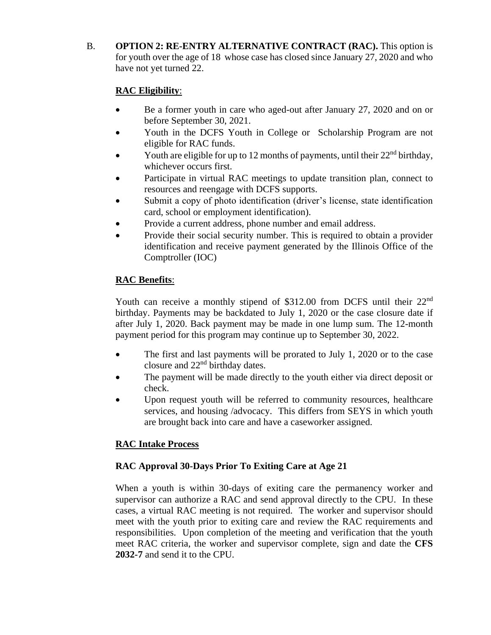B. **OPTION 2: RE-ENTRY ALTERNATIVE CONTRACT (RAC).** This option is for youth over the age of 18 whose case has closed since January 27, 2020 and who have not yet turned 22.

## **RAC Eligibility**:

- Be a former youth in care who aged-out after January 27, 2020 and on or before September 30, 2021.
- Youth in the DCFS Youth in College or Scholarship Program are not eligible for RAC funds.
- Youth are eligible for up to 12 months of payments, until their  $22<sup>nd</sup>$  birthday, whichever occurs first.
- Participate in virtual RAC meetings to update transition plan, connect to resources and reengage with DCFS supports.
- Submit a copy of photo identification (driver's license, state identification card, school or employment identification).
- Provide a current address, phone number and email address.
- Provide their social security number. This is required to obtain a provider identification and receive payment generated by the Illinois Office of the Comptroller (IOC)

## **RAC Benefits**:

Youth can receive a monthly stipend of \$312.00 from DCFS until their 22<sup>nd</sup> birthday. Payments may be backdated to July 1, 2020 or the case closure date if after July 1, 2020. Back payment may be made in one lump sum. The 12-month payment period for this program may continue up to September 30, 2022.

- The first and last payments will be prorated to July 1, 2020 or to the case closure and 22nd birthday dates.
- The payment will be made directly to the youth either via direct deposit or check.
- Upon request youth will be referred to community resources, healthcare services, and housing /advocacy. This differs from SEYS in which youth are brought back into care and have a caseworker assigned.

# **RAC Intake Process**

# **RAC Approval 30-Days Prior To Exiting Care at Age 21**

When a youth is within 30-days of exiting care the permanency worker and supervisor can authorize a RAC and send approval directly to the CPU. In these cases, a virtual RAC meeting is not required. The worker and supervisor should meet with the youth prior to exiting care and review the RAC requirements and responsibilities. Upon completion of the meeting and verification that the youth meet RAC criteria, the worker and supervisor complete, sign and date the **CFS 2032-7** and send it to the CPU.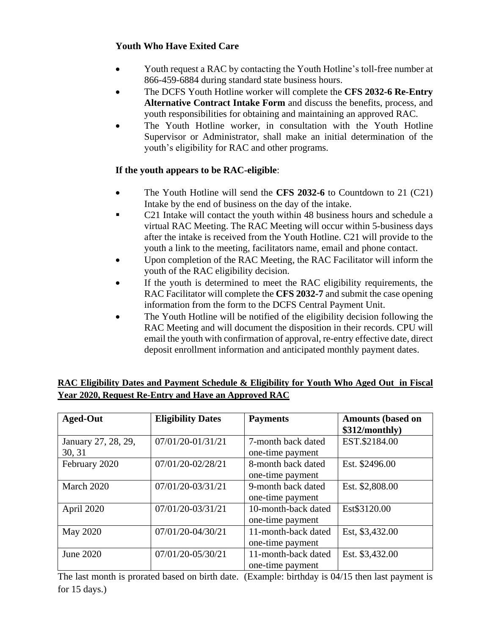### **Youth Who Have Exited Care**

- Youth request a RAC by contacting the Youth Hotline's toll-free number at 866-459-6884 during standard state business hours.
- The DCFS Youth Hotline worker will complete the **CFS 2032-6 Re-Entry Alternative Contract Intake Form** and discuss the benefits, process, and youth responsibilities for obtaining and maintaining an approved RAC.
- The Youth Hotline worker, in consultation with the Youth Hotline Supervisor or Administrator, shall make an initial determination of the youth's eligibility for RAC and other programs.

## **If the youth appears to be RAC-eligible**:

- The Youth Hotline will send the **CFS 2032-6** to Countdown to 21 (C21) Intake by the end of business on the day of the intake.
- C21 Intake will contact the youth within 48 business hours and schedule a virtual RAC Meeting. The RAC Meeting will occur within 5-business days after the intake is received from the Youth Hotline. C21 will provide to the youth a link to the meeting, facilitators name, email and phone contact.
- Upon completion of the RAC Meeting, the RAC Facilitator will inform the youth of the RAC eligibility decision.
- If the youth is determined to meet the RAC eligibility requirements, the RAC Facilitator will complete the **CFS 2032-7** and submit the case opening information from the form to the DCFS Central Payment Unit.
- The Youth Hotline will be notified of the eligibility decision following the RAC Meeting and will document the disposition in their records. CPU will email the youth with confirmation of approval, re-entry effective date, direct deposit enrollment information and anticipated monthly payment dates.

| <b>Aged-Out</b>               | <b>Eligibility Dates</b> | <b>Payments</b>                         | <b>Amounts (based on</b><br>\$312/monthly) |
|-------------------------------|--------------------------|-----------------------------------------|--------------------------------------------|
| January 27, 28, 29,<br>30, 31 | 07/01/20-01/31/21        | 7-month back dated<br>one-time payment  | EST.\$2184.00                              |
| February 2020                 | 07/01/20-02/28/21        | 8-month back dated<br>one-time payment  | Est. \$2496.00                             |
| March 2020                    | 07/01/20-03/31/21        | 9-month back dated<br>one-time payment  | Est. \$2,808.00                            |
| April 2020                    | 07/01/20-03/31/21        | 10-month-back dated<br>one-time payment | Est\$3120.00                               |
| May 2020                      | 07/01/20-04/30/21        | 11-month-back dated<br>one-time payment | Est, \$3,432.00                            |
| June 2020                     | 07/01/20-05/30/21        | 11-month-back dated<br>one-time payment | Est. \$3,432.00                            |

## **RAC Eligibility Dates and Payment Schedule & Eligibility for Youth Who Aged Out in Fiscal Year 2020, Request Re-Entry and Have an Approved RAC**

The last month is prorated based on birth date. (Example: birthday is 04/15 then last payment is for 15 days.)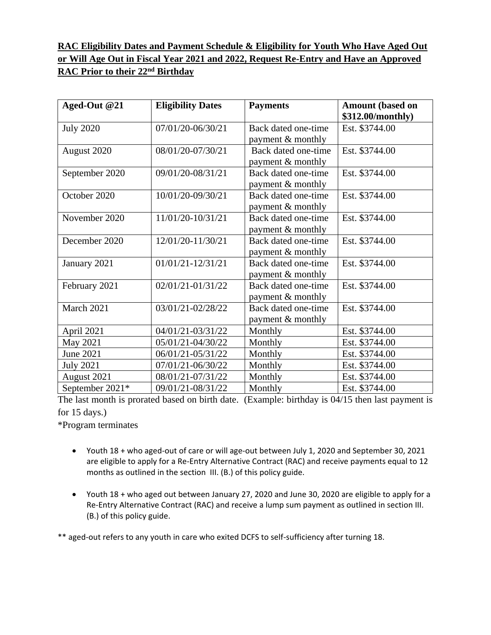## **RAC Eligibility Dates and Payment Schedule & Eligibility for Youth Who Have Aged Out or Will Age Out in Fiscal Year 2021 and 2022, Request Re-Entry and Have an Approved RAC Prior to their 22nd Birthday**

| Aged-Out @21     | <b>Eligibility Dates</b> | <b>Payments</b>                          | <b>Amount (based on</b><br>\$312.00/monthly) |
|------------------|--------------------------|------------------------------------------|----------------------------------------------|
| <b>July 2020</b> | 07/01/20-06/30/21        | Back dated one-time<br>payment & monthly | Est. \$3744.00                               |
| August 2020      | 08/01/20-07/30/21        | Back dated one-time<br>payment & monthly | Est. \$3744.00                               |
| September 2020   | 09/01/20-08/31/21        | Back dated one-time<br>payment & monthly | Est. \$3744.00                               |
| October 2020     | 10/01/20-09/30/21        | Back dated one-time<br>payment & monthly | Est. \$3744.00                               |
| November 2020    | 11/01/20-10/31/21        | Back dated one-time<br>payment & monthly | Est. \$3744.00                               |
| December 2020    | 12/01/20-11/30/21        | Back dated one-time<br>payment & monthly | Est. \$3744.00                               |
| January 2021     | 01/01/21-12/31/21        | Back dated one-time<br>payment & monthly | Est. \$3744.00                               |
| February 2021    | 02/01/21-01/31/22        | Back dated one-time<br>payment & monthly | Est. \$3744.00                               |
| March 2021       | 03/01/21-02/28/22        | Back dated one-time<br>payment & monthly | Est. \$3744.00                               |
| April 2021       | 04/01/21-03/31/22        | Monthly                                  | Est. \$3744.00                               |
| May 2021         | 05/01/21-04/30/22        | Monthly                                  | Est. \$3744.00                               |
| June 2021        | 06/01/21-05/31/22        | Monthly                                  | Est. \$3744.00                               |
| <b>July 2021</b> | 07/01/21-06/30/22        | Monthly                                  | Est. \$3744.00                               |
| August 2021      | 08/01/21-07/31/22        | Monthly                                  | Est. \$3744.00                               |
| September 2021*  | 09/01/21-08/31/22        | Monthly                                  | Est. \$3744.00                               |

The last month is prorated based on birth date. (Example: birthday is 04/15 then last payment is for 15 days.)

\*Program terminates

- Youth 18 + who aged-out of care or will age-out between July 1, 2020 and September 30, 2021 are eligible to apply for a Re-Entry Alternative Contract (RAC) and receive payments equal to 12 months as outlined in the section III. (B.) of this policy guide.
- Youth 18 + who aged out between January 27, 2020 and June 30, 2020 are eligible to apply for a Re-Entry Alternative Contract (RAC) and receive a lump sum payment as outlined in section III. (B.) of this policy guide.

\*\* aged-out refers to any youth in care who exited DCFS to self-sufficiency after turning 18.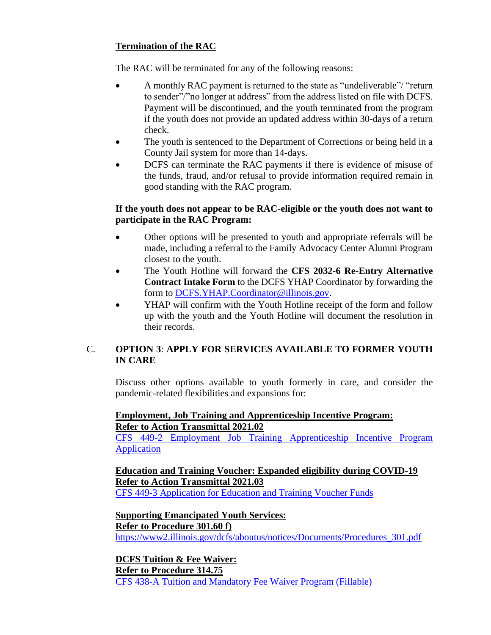### **Termination of the RAC**

The RAC will be terminated for any of the following reasons:

- A monthly RAC payment is returned to the state as "undeliverable"/ "return to sender"/"no longer at address" from the address listed on file with DCFS. Payment will be discontinued, and the youth terminated from the program if the youth does not provide an updated address within 30-days of a return check.
- The youth is sentenced to the Department of Corrections or being held in a County Jail system for more than 14-days.
- DCFS can terminate the RAC payments if there is evidence of misuse of the funds, fraud, and/or refusal to provide information required remain in good standing with the RAC program.

### **If the youth does not appear to be RAC-eligible or the youth does not want to participate in the RAC Program:**

- Other options will be presented to youth and appropriate referrals will be made, including a referral to the Family Advocacy Center Alumni Program closest to the youth.
- The Youth Hotline will forward the **CFS 2032-6 Re-Entry Alternative Contract Intake Form** to the DCFS YHAP Coordinator by forwarding the form to [DCFS.YHAP.Coordinator@illinois.gov.](mailto:DCFS.YHAP.Coordinator@illinois.gov)
- YHAP will confirm with the Youth Hotline receipt of the form and follow up with the youth and the Youth Hotline will document the resolution in their records.

### C. **OPTION 3**: **APPLY FOR SERVICES AVAILABLE TO FORMER YOUTH IN CARE**

Discuss other options available to youth formerly in care, and consider the pandemic-related flexibilities and expansions for:

### **Employment, Job Training and Apprenticeship Incentive Program: Refer to Action Transmittal 2021.02**

[CFS 449-2 Employment Job Training Apprenticeship Incentive Program](https://www2.illinois.gov/dcfs/aboutus/notices/Documents/CFS_449-2_Employment-Job_Training-Apprenticeship_Incentive_Program_Application_%28Fillable%29.pdf)  [Application](https://www2.illinois.gov/dcfs/aboutus/notices/Documents/CFS_449-2_Employment-Job_Training-Apprenticeship_Incentive_Program_Application_%28Fillable%29.pdf)

# **Education and Training Voucher: Expanded eligibility during COVID-19 Refer to Action Transmittal 2021.03**

[CFS 449-3 Application for Education and Training Voucher Funds](https://www2.illinois.gov/dcfs/aboutus/notices/Documents/cfs_449-3_application_for_education_and_training_voucher_funds_%28fillable%29.pdf)

#### **Supporting Emancipated Youth Services: Refer to Procedure 301.60 f)** [https://www2.illinois.gov/dcfs/aboutus/notices/Documents/Procedures\\_301.pdf](https://www2.illinois.gov/dcfs/aboutus/notices/Documents/Procedures_301.pdf)

**DCFS Tuition & Fee Waiver: Refer to Procedure 314.75** [CFS 438-A Tuition and Mandatory Fee Waiver Program \(Fillable\)](https://www2.illinois.gov/dcfs/aboutus/notices/Documents/CFS_438-A_Tuition_And_Mandatory_Fee_Waiver_Program_%28Fillable%29.pdf)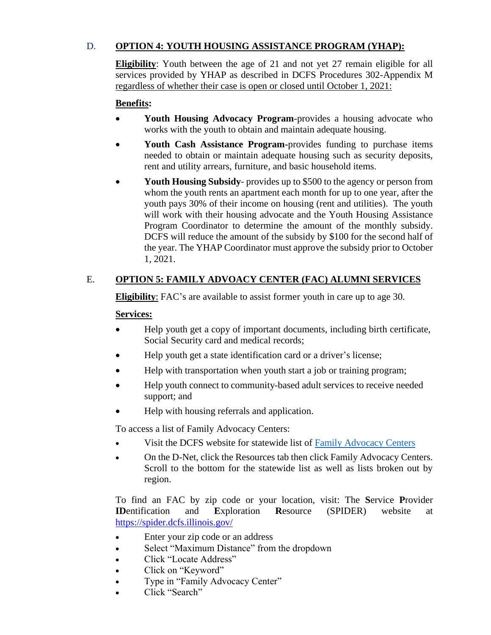### D. **OPTION 4: YOUTH HOUSING ASSISTANCE PROGRAM (YHAP):**

**Eligibility**: Youth between the age of 21 and not yet 27 remain eligible for all services provided by YHAP as described in DCFS Procedures 302-Appendix M regardless of whether their case is open or closed until October 1, 2021:

### **Benefits:**

- **Youth Housing Advocacy Program**-provides a housing advocate who works with the youth to obtain and maintain adequate housing.
- **Youth Cash Assistance Program-**provides funding to purchase items needed to obtain or maintain adequate housing such as security deposits, rent and utility arrears, furniture, and basic household items.
- **Youth Housing Subsidy** provides up to \$500 to the agency or person from whom the youth rents an apartment each month for up to one year, after the youth pays 30% of their income on housing (rent and utilities). The youth will work with their housing advocate and the Youth Housing Assistance Program Coordinator to determine the amount of the monthly subsidy. DCFS will reduce the amount of the subsidy by \$100 for the second half of the year. The YHAP Coordinator must approve the subsidy prior to October 1, 2021.

### E. **OPTION 5: FAMILY ADVOACY CENTER (FAC) ALUMNI SERVICES**

**Eligibility**: FAC's are available to assist former youth in care up to age 30.

#### **Services:**

- Help youth get a copy of important documents, including birth certificate, Social Security card and medical records;
- Help youth get a state identification card or a driver's license;
- Help with transportation when youth start a job or training program;
- Help youth connect to community-based adult services to receive needed support; and
- Help with housing referrals and application.

To access a list of Family Advocacy Centers:

- Visit the DCFS website for statewide list of [Family Advocacy Centers](https://www2.illinois.gov/dcfs/lovinghomes/families/Documents/Family_Advocacy_Directory.pdf)
- On the D-Net, click the Resources tab then click Family Advocacy Centers. Scroll to the bottom for the statewide list as well as lists broken out by region.

To find an FAC by zip code or your location, visit: The **S**ervice **P**rovider **ID**entification and **E**xploration **R**esource (SPIDER) website at <https://spider.dcfs.illinois.gov/>

- Enter your zip code or an address
- Select "Maximum Distance" from the dropdown
- Click "Locate Address"
- Click on "Keyword"
- Type in "Family Advocacy Center"
- Click "Search"